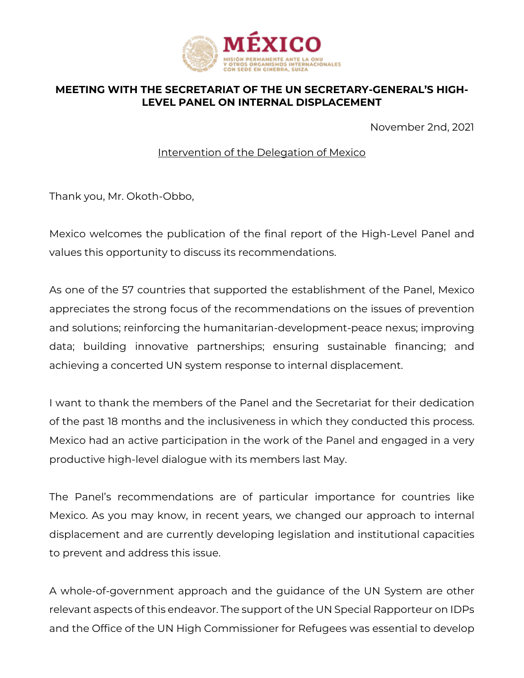

## **MEETING WITH THE SECRETARIAT OF THE UN SECRETARY-GENERAL'S HIGH-LEVEL PANEL ON INTERNAL DISPLACEMENT**

November 2nd, 2021

Intervention of the Delegation of Mexico

Thank you, Mr. Okoth-Obbo,

Mexico welcomes the publication of the final report of the High-Level Panel and values this opportunity to discuss its recommendations.

As one of the 57 countries that supported the establishment of the Panel, Mexico appreciates the strong focus of the recommendations on the issues of prevention and solutions; reinforcing the humanitarian-development-peace nexus; improving data; building innovative partnerships; ensuring sustainable financing; and achieving a concerted UN system response to internal displacement.

I want to thank the members of the Panel and the Secretariat for their dedication of the past 18 months and the inclusiveness in which they conducted this process. Mexico had an active participation in the work of the Panel and engaged in a very productive high-level dialogue with its members last May.

The Panel's recommendations are of particular importance for countries like Mexico. As you may know, in recent years, we changed our approach to internal displacement and are currently developing legislation and institutional capacities to prevent and address this issue.

A whole-of-government approach and the guidance of the UN System are other relevant aspects of this endeavor. The support of the UN Special Rapporteur on IDPs and the Office of the UN High Commissioner for Refugees was essential to develop